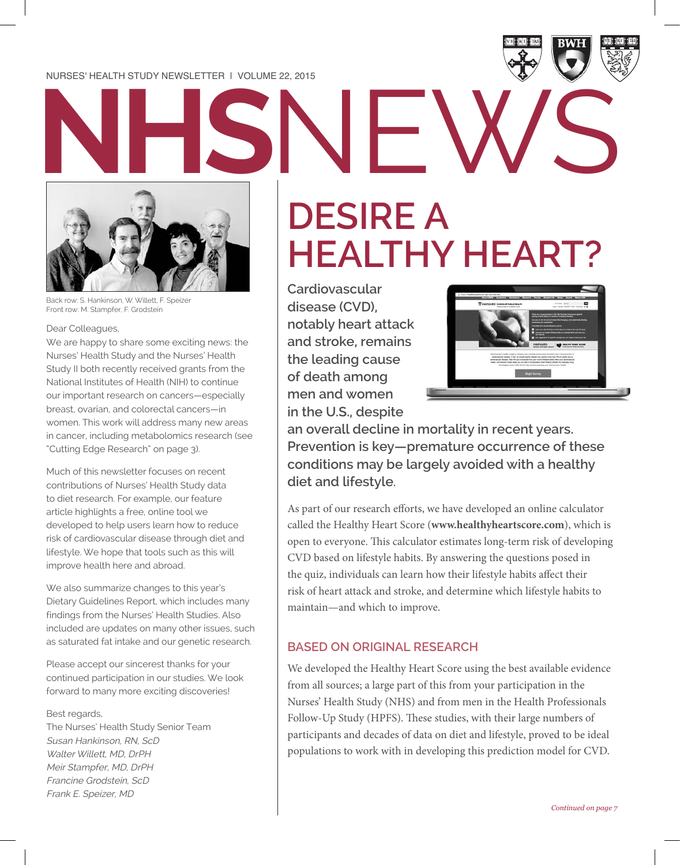**NHS**NEWS

Back row: S. Hankinson, W. Willett, F. Speizer Front row: M. Stampfer, F. Grodstein

Dear Colleagues,

We are happy to share some exciting news: the Nurses' Health Study and the Nurses' Health Study II both recently received grants from the National Institutes of Health (NIH) to continue our important research on cancers—especially breast, ovarian, and colorectal cancers—in women. This work will address many new areas in cancer, including metabolomics research (see "Cutting Edge Research" on page 3).

Much of this newsletter focuses on recent contributions of Nurses' Health Study data to diet research. For example, our feature article highlights a free, online tool we developed to help users learn how to reduce risk of cardiovascular disease through diet and lifestyle. We hope that tools such as this will improve health here and abroad.

We also summarize changes to this year's Dietary Guidelines Report, which includes many findings from the Nurses' Health Studies. Also included are updates on many other issues, such as saturated fat intake and our genetic research.

Please accept our sincerest thanks for your continued participation in our studies. We look forward to many more exciting discoveries!

Best regards,

The Nurses' Health Study Senior Team Susan Hankinson, RN, ScD Walter Willett, MD, DrPH Meir Stampfer, MD, DrPH Francine Grodstein, ScD Frank E. Speizer, MD

# **DESIRE A HEALTHY HEART?**

**Cardiovascular disease (CVD), notably heart attack and stroke, remains the leading cause of death among men and women in the U.S., despite** 



**an overall decline in mortality in recent years. Prevention is key—premature occurrence of these conditions may be largely avoided with a healthy diet and lifestyle.**

As part of our research efforts, we have developed an online calculator called the Healthy Heart Score (**www.healthyheartscore.com**), which is open to everyone. This calculator estimates long-term risk of developing CVD based on lifestyle habits. By answering the questions posed in the quiz, individuals can learn how their lifestyle habits affect their risk of heart attack and stroke, and determine which lifestyle habits to maintain—and which to improve.

#### **BASED ON ORIGINAL RESEARCH**

We developed the Healthy Heart Score using the best available evidence from all sources; a large part of this from your participation in the Nurses' Health Study (NHS) and from men in the Health Professionals Follow-Up Study (HPFS). These studies, with their large numbers of participants and decades of data on diet and lifestyle, proved to be ideal populations to work with in developing this prediction model for CVD.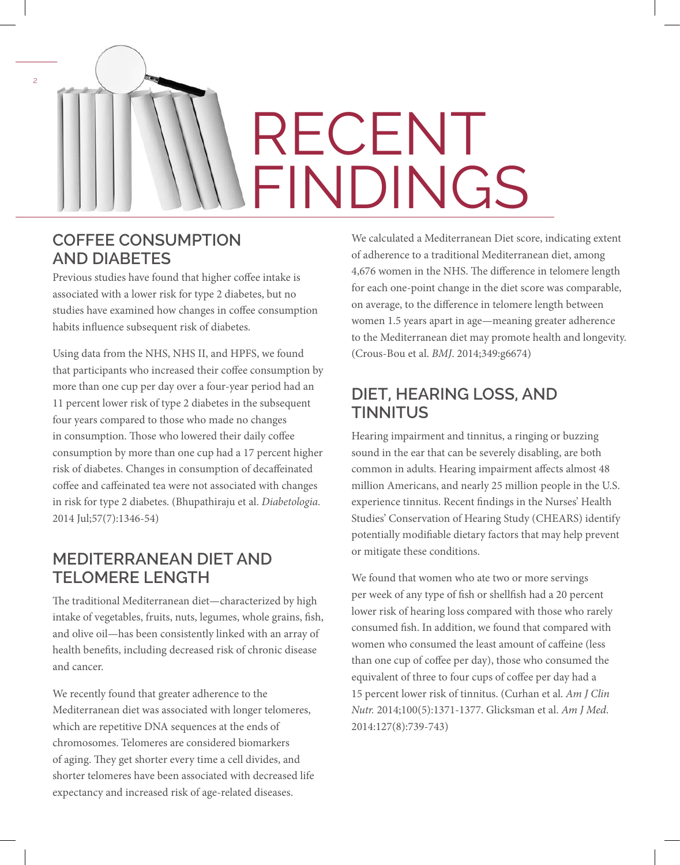# RECENT FINDINGS

#### **COFFEE CONSUMPTION AND DIABETES**

 $\overline{2}$ 

Previous studies have found that higher coffee intake is associated with a lower risk for type 2 diabetes, but no studies have examined how changes in coffee consumption habits influence subsequent risk of diabetes.

Using data from the NHS, NHS II, and HPFS, we found that participants who increased their coffee consumption by more than one cup per day over a four-year period had an 11 percent lower risk of type 2 diabetes in the subsequent four years compared to those who made no changes in consumption. Those who lowered their daily coffee consumption by more than one cup had a 17 percent higher risk of diabetes. Changes in consumption of decaffeinated coffee and caffeinated tea were not associated with changes in risk for type 2 diabetes. (Bhupathiraju et al. *Diabetologia.* 2014 Jul;57(7):1346-54)

## **MEDITERRANEAN DIET AND TELOMERE LENGTH**

The traditional Mediterranean diet—characterized by high intake of vegetables, fruits, nuts, legumes, whole grains, fish, and olive oil—has been consistently linked with an array of health benefits, including decreased risk of chronic disease and cancer.

We recently found that greater adherence to the Mediterranean diet was associated with longer telomeres, which are repetitive DNA sequences at the ends of chromosomes. Telomeres are considered biomarkers of aging. They get shorter every time a cell divides, and shorter telomeres have been associated with decreased life expectancy and increased risk of age-related diseases.

We calculated a Mediterranean Diet score, indicating extent of adherence to a traditional Mediterranean diet, among 4,676 women in the NHS. The difference in telomere length for each one-point change in the diet score was comparable, on average, to the difference in telomere length between women 1.5 years apart in age—meaning greater adherence to the Mediterranean diet may promote health and longevity. (Crous-Bou et al. *BMJ*. 2014;349:g6674)

## **DIET, HEARING LOSS, AND TINNITUS**

Hearing impairment and tinnitus, a ringing or buzzing sound in the ear that can be severely disabling, are both common in adults. Hearing impairment affects almost 48 million Americans, and nearly 25 million people in the U.S. experience tinnitus. Recent findings in the Nurses' Health Studies' Conservation of Hearing Study (CHEARS) identify potentially modifiable dietary factors that may help prevent or mitigate these conditions.

We found that women who ate two or more servings per week of any type of fish or shellfish had a 20 percent lower risk of hearing loss compared with those who rarely consumed fish. In addition, we found that compared with women who consumed the least amount of caffeine (less than one cup of coffee per day), those who consumed the equivalent of three to four cups of coffee per day had a 15 percent lower risk of tinnitus. (Curhan et al. *Am J Clin Nutr.* 2014;100(5):1371-1377. Glicksman et al. *Am J Med*. 2014:127(8):739-743)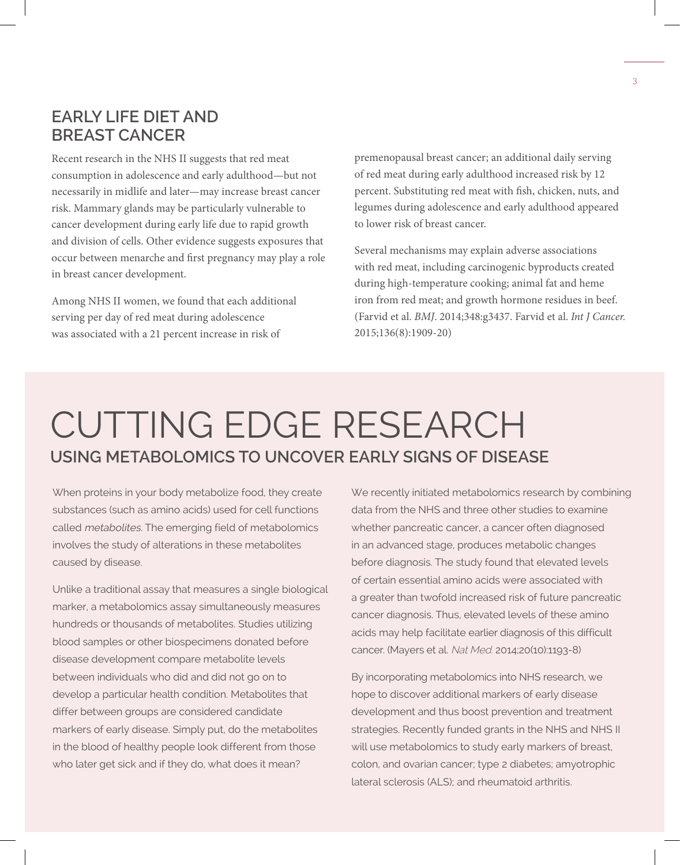#### **EARLY LIFE DIET AND BREAST CANCER**

Recent research in the NHS II suggests that red meat consumption in adolescence and early adulthood—but not necessarily in midlife and later—may increase breast cancer risk. Mammary glands may be particularly vulnerable to cancer development during early life due to rapid growth and division of cells. Other evidence suggests exposures that occur between menarche and first pregnancy may play a role in breast cancer development.

Among NHS II women, we found that each additional serving per day of red meat during adolescence was associated with a 21 percent increase in risk of

premenopausal breast cancer; an additional daily serving of red meat during early adulthood increased risk by 12 percent. Substituting red meat with fish, chicken, nuts, and legumes during adolescence and early adulthood appeared to lower risk of breast cancer.

Several mechanisms may explain adverse associations with red meat, including carcinogenic byproducts created during high-temperature cooking; animal fat and heme iron from red meat; and growth hormone residues in beef. (Farvid et al. *BMJ*. 2014;348:g3437. Farvid et al. *Int J Cancer.*  2015;136(8):1909-20)

## CUTTING EDGE RESEARCH **USING METABOLOMICS TO UNCOVER EARLY SIGNS OF DISEASE**

When proteins in your body metabolize food, they create substances (such as amino acids) used for cell functions called metabolites. The emerging field of metabolomics involves the study of alterations in these metabolites caused by disease.

Unlike a traditional assay that measures a single biological marker, a metabolomics assay simultaneously measures hundreds or thousands of metabolites. Studies utilizing blood samples or other biospecimens donated before disease development compare metabolite levels between individuals who did and did not go on to develop a particular health condition. Metabolites that differ between groups are considered candidate markers of early disease. Simply put, do the metabolites in the blood of healthy people look different from those who later get sick and if they do, what does it mean?

We recently initiated metabolomics research by combining data from the NHS and three other studies to examine whether pancreatic cancer, a cancer often diagnosed in an advanced stage, produces metabolic changes before diagnosis. The study found that elevated levels of certain essential amino acids were associated with a greater than twofold increased risk of future pancreatic cancer diagnosis. Thus, elevated levels of these amino acids may help facilitate earlier diagnosis of this difficult cancer. (Mayers et al. Nat Med. 2014;20(10):1193-8)

By incorporating metabolomics into NHS research, we hope to discover additional markers of early disease development and thus boost prevention and treatment strategies. Recently funded grants in the NHS and NHS II will use metabolomics to study early markers of breast, colon, and ovarian cancer; type 2 diabetes; amyotrophic lateral sclerosis (ALS); and rheumatoid arthritis.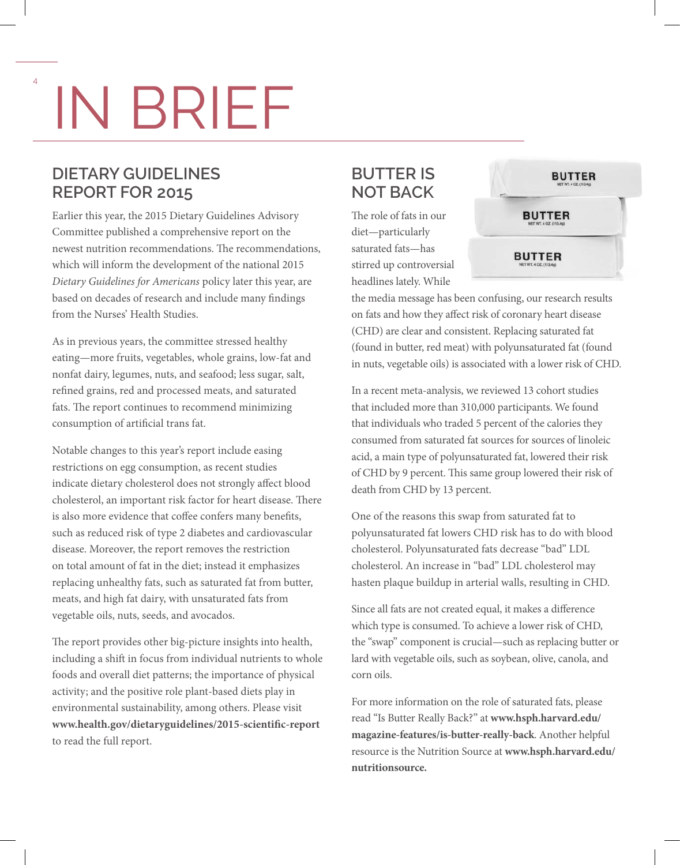# IN BRIEF

## **DIETARY GUIDELINES REPORT FOR 2015**

Earlier this year, the 2015 Dietary Guidelines Advisory Committee published a comprehensive report on the newest nutrition recommendations. The recommendations, which will inform the development of the national 2015 *Dietary Guidelines for Americans* policy later this year, are based on decades of research and include many findings from the Nurses' Health Studies.

As in previous years, the committee stressed healthy eating—more fruits, vegetables, whole grains, low-fat and nonfat dairy, legumes, nuts, and seafood; less sugar, salt, refined grains, red and processed meats, and saturated fats. The report continues to recommend minimizing consumption of artificial trans fat.

Notable changes to this year's report include easing restrictions on egg consumption, as recent studies indicate dietary cholesterol does not strongly affect blood cholesterol, an important risk factor for heart disease. There is also more evidence that coffee confers many benefits, such as reduced risk of type 2 diabetes and cardiovascular disease. Moreover, the report removes the restriction on total amount of fat in the diet; instead it emphasizes replacing unhealthy fats, such as saturated fat from butter, meats, and high fat dairy, with unsaturated fats from vegetable oils, nuts, seeds, and avocados.

The report provides other big-picture insights into health, including a shift in focus from individual nutrients to whole foods and overall diet patterns; the importance of physical activity; and the positive role plant-based diets play in environmental sustainability, among others. Please visit **www.health.gov/dietaryguidelines/2015-scientific-report**  to read the full report.

## **BUTTER IS NOT BACK**

The role of fats in our diet—particularly saturated fats—has stirred up controversial headlines lately. While



the media message has been confusing, our research results on fats and how they affect risk of coronary heart disease (CHD) are clear and consistent. Replacing saturated fat (found in butter, red meat) with polyunsaturated fat (found in nuts, vegetable oils) is associated with a lower risk of CHD.

In a recent meta-analysis, we reviewed 13 cohort studies that included more than 310,000 participants. We found that individuals who traded 5 percent of the calories they consumed from saturated fat sources for sources of linoleic acid, a main type of polyunsaturated fat, lowered their risk of CHD by 9 percent. This same group lowered their risk of death from CHD by 13 percent.

One of the reasons this swap from saturated fat to polyunsaturated fat lowers CHD risk has to do with blood cholesterol. Polyunsaturated fats decrease "bad" LDL cholesterol. An increase in "bad" LDL cholesterol may hasten plaque buildup in arterial walls, resulting in CHD.

Since all fats are not created equal, it makes a difference which type is consumed. To achieve a lower risk of CHD, the "swap" component is crucial—such as replacing butter or lard with vegetable oils, such as soybean, olive, canola, and corn oils.

For more information on the role of saturated fats, please read "Is Butter Really Back?" at **www.hsph.harvard.edu/ magazine-features/is-butter-really-back**. Another helpful resource is the Nutrition Source at **www.hsph.harvard.edu/ nutritionsource.**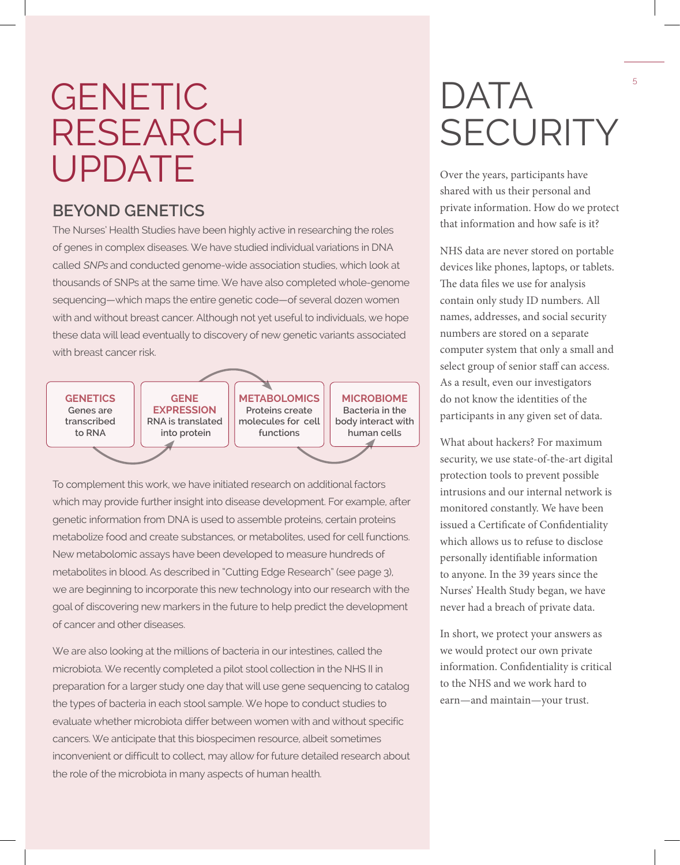# GENETIC RESEARCH UPDATE

## **BEYOND GENETICS**

The Nurses' Health Studies have been highly active in researching the roles of genes in complex diseases. We have studied individual variations in DNA called SNPs and conducted genome-wide association studies, which look at thousands of SNPs at the same time. We have also completed whole-genome sequencing—which maps the entire genetic code—of several dozen women with and without breast cancer. Although not yet useful to individuals, we hope these data will lead eventually to discovery of new genetic variants associated with breast cancer risk.

**GENETICS Genes are transcribed to RNA**

**GENE EXPRESSION RNA is translated into protein**

**METABOLOMICS Proteins create molecules for cell functions**

**MICROBIOME Bacteria in the body interact with human cells**

To complement this work, we have initiated research on additional factors which may provide further insight into disease development. For example, after genetic information from DNA is used to assemble proteins, certain proteins metabolize food and create substances, or metabolites, used for cell functions. New metabolomic assays have been developed to measure hundreds of metabolites in blood. As described in "Cutting Edge Research" (see page 3), we are beginning to incorporate this new technology into our research with the goal of discovering new markers in the future to help predict the development of cancer and other diseases.

We are also looking at the millions of bacteria in our intestines, called the microbiota. We recently completed a pilot stool collection in the NHS II in preparation for a larger study one day that will use gene sequencing to catalog the types of bacteria in each stool sample. We hope to conduct studies to evaluate whether microbiota differ between women with and without specific cancers. We anticipate that this biospecimen resource, albeit sometimes inconvenient or difficult to collect, may allow for future detailed research about the role of the microbiota in many aspects of human health.

# DATA **SECURITY**

Over the years, participants have shared with us their personal and private information. How do we protect that information and how safe is it?

NHS data are never stored on portable devices like phones, laptops, or tablets. The data files we use for analysis contain only study ID numbers. All names, addresses, and social security numbers are stored on a separate computer system that only a small and select group of senior staff can access. As a result, even our investigators do not know the identities of the participants in any given set of data.

What about hackers? For maximum security, we use state-of-the-art digital protection tools to prevent possible intrusions and our internal network is monitored constantly. We have been issued a Certificate of Confidentiality which allows us to refuse to disclose personally identifiable information to anyone. In the 39 years since the Nurses' Health Study began, we have never had a breach of private data.

In short, we protect your answers as we would protect our own private information. Confidentiality is critical to the NHS and we work hard to earn—and maintain—your trust.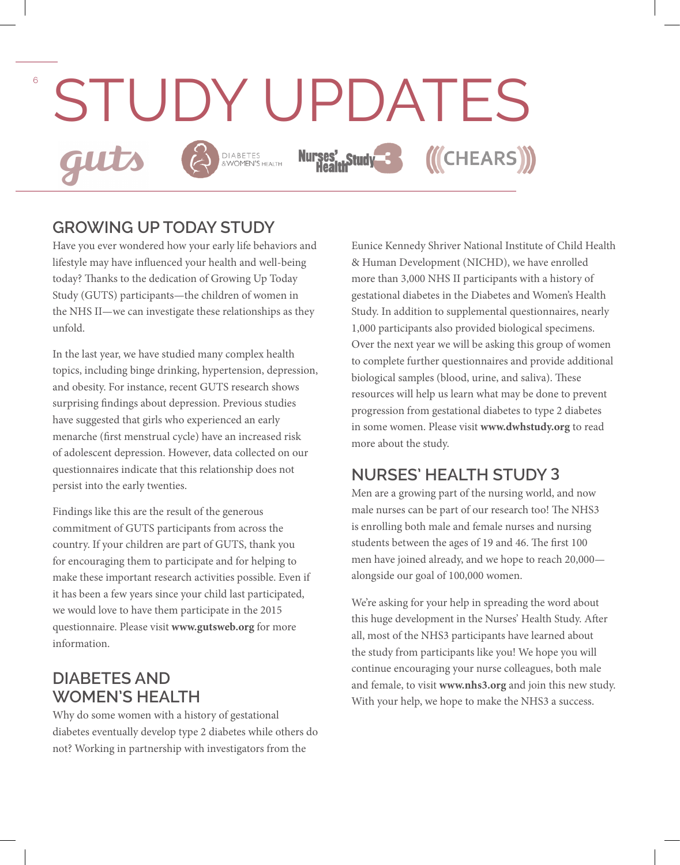

#### **GROWING UP TODAY STUDY**

Have you ever wondered how your early life behaviors and lifestyle may have influenced your health and well-being today? Thanks to the dedication of Growing Up Today Study (GUTS) participants—the children of women in the NHS II—we can investigate these relationships as they unfold.

In the last year, we have studied many complex health topics, including binge drinking, hypertension, depression, and obesity. For instance, recent GUTS research shows surprising findings about depression. Previous studies have suggested that girls who experienced an early menarche (first menstrual cycle) have an increased risk of adolescent depression. However, data collected on our questionnaires indicate that this relationship does not persist into the early twenties.

Findings like this are the result of the generous commitment of GUTS participants from across the country. If your children are part of GUTS, thank you for encouraging them to participate and for helping to make these important research activities possible. Even if it has been a few years since your child last participated, we would love to have them participate in the 2015 questionnaire. Please visit **www.gutsweb.org** for more information.

## **DIABETES AND WOMEN'S HEALTH**

Why do some women with a history of gestational diabetes eventually develop type 2 diabetes while others do not? Working in partnership with investigators from the

Eunice Kennedy Shriver National Institute of Child Health & Human Development (NICHD), we have enrolled more than 3,000 NHS II participants with a history of gestational diabetes in the Diabetes and Women's Health Study. In addition to supplemental questionnaires, nearly 1,000 participants also provided biological specimens. Over the next year we will be asking this group of women to complete further questionnaires and provide additional biological samples (blood, urine, and saliva). These resources will help us learn what may be done to prevent progression from gestational diabetes to type 2 diabetes in some women. Please visit **www.dwhstudy.org** to read more about the study.

## **NURSES' HEALTH STUDY 3**

Men are a growing part of the nursing world, and now male nurses can be part of our research too! The NHS3 is enrolling both male and female nurses and nursing students between the ages of 19 and 46. The first 100 men have joined already, and we hope to reach 20,000 alongside our goal of 100,000 women.

We're asking for your help in spreading the word about this huge development in the Nurses' Health Study. After all, most of the NHS3 participants have learned about the study from participants like you! We hope you will continue encouraging your nurse colleagues, both male and female, to visit **www.nhs3.org** and join this new study. With your help, we hope to make the NHS3 a success.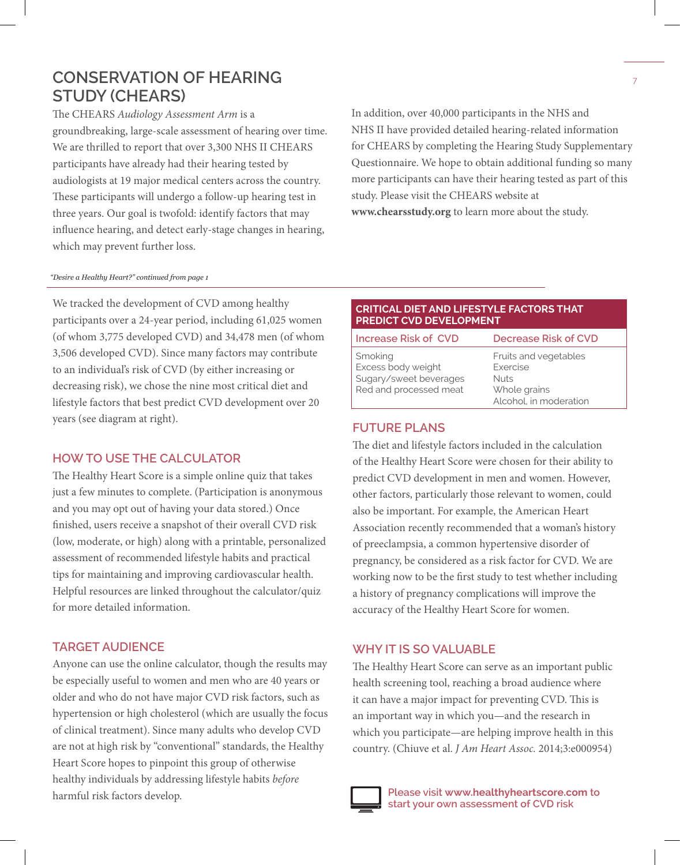## **CONSERVATION OF HEARING STUDY (CHEARS)**

The CHEARS *Audiology Assessment Arm* is a groundbreaking, large-scale assessment of hearing over time. We are thrilled to report that over 3,300 NHS II CHEARS participants have already had their hearing tested by audiologists at 19 major medical centers across the country. These participants will undergo a follow-up hearing test in three years. Our goal is twofold: identify factors that may influence hearing, and detect early-stage changes in hearing, which may prevent further loss.

In addition, over 40,000 participants in the NHS and NHS II have provided detailed hearing-related information for CHEARS by completing the Hearing Study Supplementary Questionnaire. We hope to obtain additional funding so many more participants can have their hearing tested as part of this study. Please visit the CHEARS website at **www.chearsstudy.org** to learn more about the study.

#### *"Desire a Healthy Heart?" continued from page 1*

We tracked the development of CVD among healthy participants over a 24-year period, including 61,025 women (of whom 3,775 developed CVD) and 34,478 men (of whom 3,506 developed CVD). Since many factors may contribute to an individual's risk of CVD (by either increasing or decreasing risk), we chose the nine most critical diet and lifestyle factors that best predict CVD development over 20 years (see diagram at right).

#### **HOW TO USE THE CALCULATOR**

The Healthy Heart Score is a simple online quiz that takes just a few minutes to complete. (Participation is anonymous and you may opt out of having your data stored.) Once finished, users receive a snapshot of their overall CVD risk (low, moderate, or high) along with a printable, personalized assessment of recommended lifestyle habits and practical tips for maintaining and improving cardiovascular health. Helpful resources are linked throughout the calculator/quiz for more detailed information.

#### **TARGET AUDIENCE**

Anyone can use the online calculator, though the results may be especially useful to women and men who are 40 years or older and who do not have major CVD risk factors, such as hypertension or high cholesterol (which are usually the focus of clinical treatment). Since many adults who develop CVD are not at high risk by "conventional" standards, the Healthy Heart Score hopes to pinpoint this group of otherwise healthy individuals by addressing lifestyle habits *before* harmful risk factors develop.

#### **CRITICAL DIET AND LIFESTYLE FACTORS THAT PREDICT CVD DEVELOPMENT**

| Increase Risk of CVD                                                              | Decrease Risk of CVD                                                                       |
|-----------------------------------------------------------------------------------|--------------------------------------------------------------------------------------------|
| Smoking<br>Excess body weight<br>Sugary/sweet beverages<br>Red and processed meat | Fruits and vegetables<br>Exercise<br><b>Nuts</b><br>Whole grains<br>Alcohol, in moderation |

#### **FUTURE PLANS**

The diet and lifestyle factors included in the calculation of the Healthy Heart Score were chosen for their ability to predict CVD development in men and women. However, other factors, particularly those relevant to women, could also be important. For example, the American Heart Association recently recommended that a woman's history of preeclampsia, a common hypertensive disorder of pregnancy, be considered as a risk factor for CVD. We are working now to be the first study to test whether including a history of pregnancy complications will improve the accuracy of the Healthy Heart Score for women.

#### **WHY IT IS SO VALUABLE**

The Healthy Heart Score can serve as an important public health screening tool, reaching a broad audience where it can have a major impact for preventing CVD. This is an important way in which you—and the research in which you participate—are helping improve health in this country. (Chiuve et al. *J Am Heart Assoc.* 2014;3:e000954)



**Please visit www.healthyheartscore.com to start your own assessment of CVD risk**